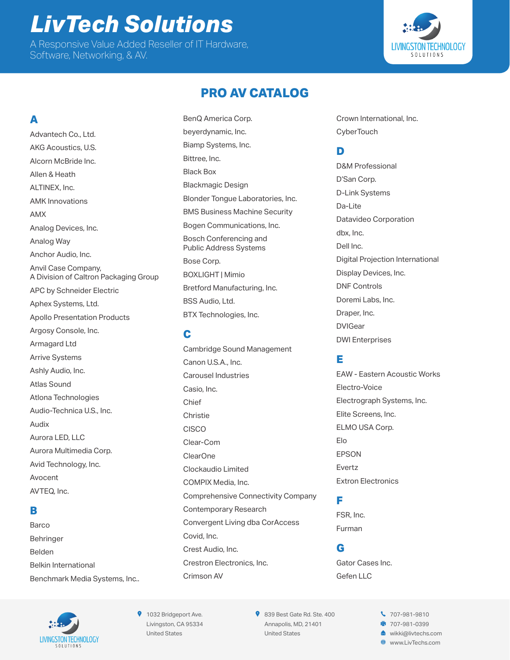# *LivTech Solutions* A Responsive Value Added Reseller of IT Hardware,

Software, Networking, & AV.



# **PRO AV CATALOG**

## **A**

Advantech Co., Ltd. AKG Acoustics, U.S. Alcorn McBride Inc. Allen & Heath ALTINEX, Inc. AMK Innovations AMX Analog Devices, Inc. Analog Way Anchor Audio, Inc. Anvil Case Company, A Division of Caltron Packaging Group APC by Schneider Electric Aphex Systems, Ltd. Apollo Presentation Products Argosy Console, Inc. Armagard Ltd Arrive Systems Ashly Audio, Inc. Atlas Sound Atlona Technologies Audio-Technica U.S., Inc. Audix Aurora LED, LLC Aurora Multimedia Corp. Avid Technology, Inc. Avocent

# **B**

AVTEQ, Inc.

Barco Behringer Belden Belkin International Benchmark Media Systems, Inc.. BenQ America Corp. beyerdynamic, Inc. Biamp Systems, Inc. Bittree, Inc. Black Box Blackmagic Design Blonder Tongue Laboratories, Inc. BMS Business Machine Security Bogen Communications, Inc. Bosch Conferencing and Public Address Systems Bose Corp. BOXLIGHT | Mimio Bretford Manufacturing, Inc. BSS Audio, Ltd. BTX Technologies, Inc.

#### **C**

Cambridge Sound Management Canon U.S.A., Inc. Carousel Industries Casio, Inc. Chief **Christie** CISCO Clear-Com ClearOne Clockaudio Limited COMPIX Media, Inc. Comprehensive Connectivity Company Contemporary Research Convergent Living dba CorAccess Covid, Inc. Crest Audio, Inc. Crestron Electronics, Inc. Crimson AV

Crown International, Inc. **CyberTouch** 

#### **D**

D&M Professional D'San Corp. D-Link Systems Da-Lite Datavideo Corporation dbx, Inc. Dell Inc. Digital Projection International Display Devices, Inc. DNF Controls Doremi Labs, Inc. Draper, Inc. DVIGear DWI Enterprises

#### **E**

EAW - Eastern Acoustic Works Electro-Voice Electrograph Systems, Inc. Elite Screens, Inc. ELMO USA Corp. Elo EPSON Evertz Extron Electronics

#### **F**

FSR, Inc. Furman

#### **G**

Gator Cases Inc. Gefen LLC



**9** 1032 Bridgeport Ave. Livingston, CA 95334 United States

839 Best Gate Rd. Ste. 400 Annapolis, MD, 21401 United States

 707-981-9810 ■ 707-981-0399 [wikki@livtechs.com](mailto:wikki@livtechs.com) [www.LivTechs.com](http://www.LivTechs.com)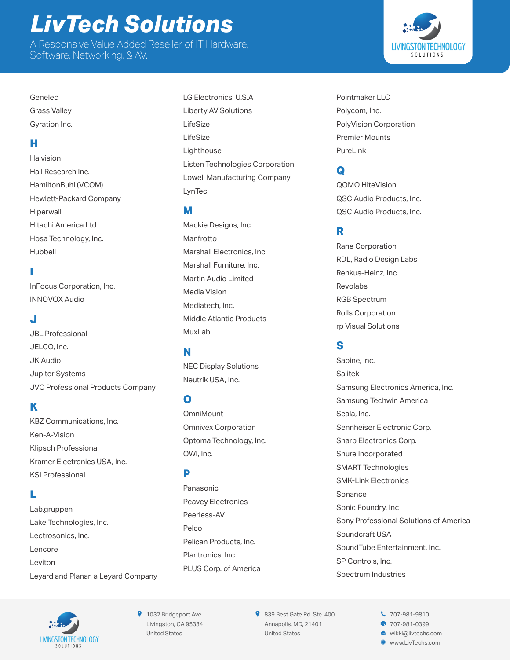# *LivTech Solutions*

A Responsive Value Added Reseller of IT Hardware, Software, Networking, & AV.

Genelec Grass Valley Gyration Inc.

#### **H**

Haivision Hall Research Inc. HamiltonBuhl (VCOM) Hewlett-Packard Company Hiperwall Hitachi America Ltd. Hosa Technology, Inc. Hubbell

#### **I**

InFocus Corporation, Inc. INNOVOX Audio

#### **J**

JBL Professional JELCO, Inc. JK Audio Jupiter Systems JVC Professional Products Company

#### **K**

KBZ Communications, Inc. Ken-A-Vision Klipsch Professional Kramer Electronics USA, Inc. KSI Professional

#### **L**

Lab.gruppen Lake Technologies, Inc. Lectrosonics, Inc. Lencore Leviton Leyard and Planar, a Leyard Company

LG Electronics, U.S.A Liberty AV Solutions LifeSize LifeSize Lighthouse Listen Technologies Corporation Lowell Manufacturing Company LynTec

#### **M**

Mackie Designs, Inc. Manfrotto Marshall Electronics, Inc. Marshall Furniture, Inc. Martin Audio Limited Media Vision Mediatech, Inc. Middle Atlantic Products MuxLab

#### **N**

NEC Display Solutions Neutrik USA, Inc.

#### **O**

**OmniMount** Omnivex Corporation Optoma Technology, Inc. OWI, Inc.

#### **P**

Panasonic Peavey Electronics Peerless-AV Pelco Pelican Products, Inc. Plantronics, Inc PLUS Corp. of America Pointmaker LLC Polycom, Inc. PolyVision Corporation Premier Mounts PureLink

### **Q**

QOMO HiteVision QSC Audio Products, Inc. QSC Audio Products, Inc.

#### **R**

Rane Corporation RDL, Radio Design Labs Renkus-Heinz, Inc.. Revolabs RGB Spectrum Rolls Corporation rp Visual Solutions

#### **S**

Sabine, Inc. Salitek Samsung Electronics America, Inc. Samsung Techwin America Scala, Inc. Sennheiser Electronic Corp. Sharp Electronics Corp. Shure Incorporated SMART Technologies SMK-Link Electronics Sonance Sonic Foundry, Inc Sony Professional Solutions of America Soundcraft USA SoundTube Entertainment, Inc. SP Controls, Inc. Spectrum Industries



**9** 1032 Bridgeport Ave. Livingston, CA 95334 United States

839 Best Gate Rd. Ste. 400 Annapolis, MD, 21401 United States

 707-981-9810 **707-981-0399** [wikki@livtechs.com](mailto:wikki@livtechs.com) [www.LivTechs.com](http://www.LivTechs.com)